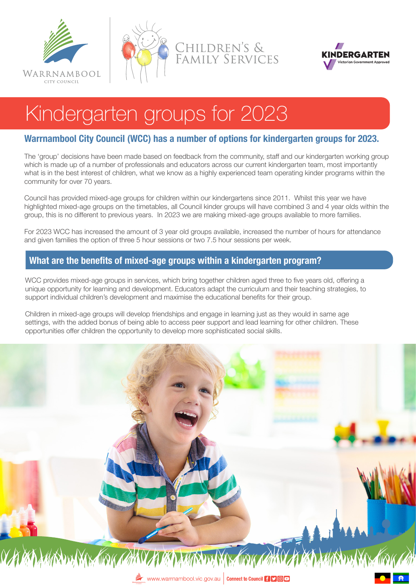





# Kindergarten groups for 2023

# **Warrnambool City Council (WCC) has a number of options for kindergarten groups for 2023.**

The 'group' decisions have been made based on feedback from the community, staff and our kindergarten working group which is made up of a number of professionals and educators across our current kindergarten team, most importantly what is in the best interest of children, what we know as a highly experienced team operating kinder programs within the community for over 70 years.

Council has provided mixed-age groups for children within our kindergartens since 2011. Whilst this year we have highlighted mixed-age groups on the timetables, all Council kinder groups will have combined 3 and 4 year olds within the group, this is no different to previous years. In 2023 we are making mixed-age groups available to more families.

For 2023 WCC has increased the amount of 3 year old groups available, increased the number of hours for attendance and given families the option of three 5 hour sessions or two 7.5 hour sessions per week.

## **What are the benefits of mixed-age groups within a kindergarten program?**

WCC provides mixed-age groups in services, which bring together children aged three to five years old, offering a unique opportunity for learning and development. Educators adapt the curriculum and their teaching strategies, to support individual children's development and maximise the educational benefits for their group.

Children in mixed-age groups will develop friendships and engage in learning just as they would in same age settings, with the added bonus of being able to access peer support and lead learning for other children. These opportunities offer children the opportunity to develop more sophisticated social skills.